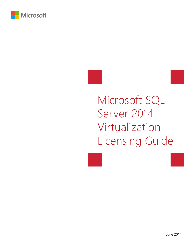





# Microsoft SQL Server 2014 Virtualization Licensing Guide

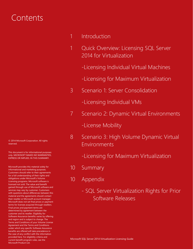# **Contents**

1 Introduction

- 1 Quick Overview: Licensing SQL Server 2014 for Virtualization
	- -Licensing Individual Virtual Machines
	- -Licensing for Maximum Virtualization
- 3 Scenario 1: Server Consolidation
	- -Licensing Individual VMs
- 7 Scenario 2: Dynamic Virtual Environments
	- -License Mobility
- 8 Scenario 3: High Volume Dynamic Virtual Environments
	- -Licensing for Maximum Virtualization
- 10 Summary
- 10 Appendix
	- SQL Server Virtualization Rights for Prior Software Releases

© 2014 Microsoft Corporation. All rights reserved.

This document is for informational purposes only. MICROSOFT MAKES NO WARRANTIES, EXPRESS OR IMPLIED, IN THIS SUMMARY.

Microsoft provides this material solely for informational and marketing purposes. Customers should refer to their agreements for a full understanding of their rights and obligations under Microsoft's Volume Licensing programs. Microsoft software is licensed not sold. The value and benefit gained through use of Microsoft software and services may vary by customer. Customers with questions about differences between this material and the agreements should contact their reseller or Microsoft account manager. Microsoft does not set final prices or payment terms for licenses acquired through resellers. Final prices and payment terms are determined by agreement between the customer and its reseller. Eligibility for Software Assurance benefits varies by offering and region and is subject to change. The Terms and Conditions of your Volume License Agreement and the Terms and Conditions under which any specific Software Assurance benefits are offered will take precedence in the case of any conflict with the information provided here. For eligibility criteria and current benefit program rules, see the Microsoft Product List.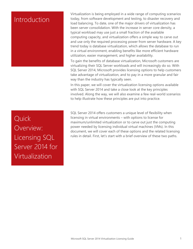### Introduction

Virtualization is being employed in a wide range of computing scenarios today, from software development and testing, to disaster recovery and load balancing. To date, one of the major drivers of virtualization has been server consolidation. With the increase in server core density, a typical workload may use just a small fraction of the available computing capacity, and virtualization offers a simple way to carve out and use only the required processing power from server hardware. A key trend today is database virtualization, which allows the database to run in a virtual environment, enabling benefits like more efficient hardware utilization, easier management, and higher availability.

To gain the benefits of database virtualization, Microsoft customers are virtualizing their SQL Server workloads and will increasingly do so. With SQL Server 2014, Microsoft provides licensing options to help customers take advantage of virtualization, and to pay in a more granular and fair way than the industry has typically seen.

In this paper, we will cover the virtualization licensing options available with SQL Server 2014 and take a close look at the key principles involved. Along the way, we will also examine a few real-world scenarios to help illustrate how these principles are put into practice.

SQL Server 2014 offers customers a unique level of flexibility when licensing in virtual environments – with options to license for maximum/unlimited virtualization or to carve out just the computing power needed by licensing individual virtual machines (VMs). In this document, we will cover each of these options and the related licensing rules in detail. First, let's start with a brief overview of these two paths.

**Quick** Overview: Licensing SQL Server 2014 for Virtualization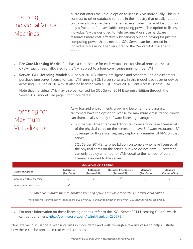# Licensing Individual Virtual Machines

Microsoft offers the unique option to license VMs individually. This is in contrast to other database vendors in the industry that usually require customers to license the entire server, even when the workload utilizes only a fraction of the available computing power. The option to license individual VMs is designed to help organizations use hardware resources more cost-effectively by carving out and paying for just the computing power that is needed. SQL Server can be licensed in individual VMs using the "Per Core" or the "Server+CAL" licensing model.

- **Per Core Licensing Model:** Purchase a core license for each virtual core (or virtual processor/virtual CPU/virtual thread) allocated to the VM, subject to a four core license minimum per VM.
- **Server+CAL Licensing Model:** SQL Server 2014 Business Intelligence and Standard Edition customers purchase one server license for each VM running SQL Server software. In this model, each user or device accessing SQL Server 2014 must also be licensed with a SQL Server 2014 Client Access License (CAL).

Note that individual VMs may also be licensed for SQL Server 2014 Enterprise Edition through the Server+CAL model. See page 8 for more details.

### Licensing for Maximum Virtualization

- As virtualized environments grow and become more dynamic, customers have the option to license for maximum virtualization, which can dramatically simplify software licensing management.
- SQL Server 2014 Enterprise Edition customers who have licensed all of the physical cores on the server, and have Software Assurance (SA) coverage for those licenses, may deploy any number of VMs on that server.
- SQL Server 2014 Enterprise Edition customers who have licensed all the physical cores on the server, but who do not have SA coverage, can only deploy a number of VMs equal to the number of core licenses assigned to the server.

| <b>SQL Server 2014 Edition</b>     |                                 |                                    |                                              |                               |                                 |  |
|------------------------------------|---------------------------------|------------------------------------|----------------------------------------------|-------------------------------|---------------------------------|--|
| <b>Licensing Option</b>            | <b>Enterprise</b><br>(Per Core) | <b>Enterprise</b><br>(Server+CAL)* | <b>Business Intelligence</b><br>(Server+CAL) | <b>Standard</b><br>(Per Core) | <b>Standard</b><br>(Server+CAL) |  |
| <b>Individual Virtual Machines</b> |                                 |                                    |                                              |                               |                                 |  |
| Maximum Virtualization             |                                 |                                    |                                              |                               |                                 |  |

*This table summarizes the virtualization licensing options available for each SQL Server 2014 edition.* 

*\*For additional information on licensing the SQL Server 2014 Enterprise Edition in the Server+CAL licensing model, see page 8.* 

 For more information on these licensing options, refer to the "SQL Server 2014 Licensing Guide", which can be found here: http://go.microsoft.com/fwlink/?LinkId=230678

Next, we will discuss these licensing rules in more detail and walk through a few use cases to help illustrate how these can be applied in real-world scenarios.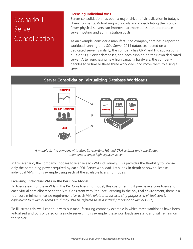# Scenario 1: Server **Consolidation**

#### **Licensing Individual VMs**

Server consolidation has been a major driver of virtualization in today's IT environments. Virtualizing workloads and consolidating them onto fewer physical servers can improve hardware utilization and reduce server hosting and administration costs.

As an example, consider a manufacturing company that has a reporting workload running on a SQL Server 2014 database, hosted on a dedicated server. Similarly, the company has CRM and HR applications built on SQL Server databases, and each running on their own dedicated server. After purchasing new high capacity hardware, the company decides to virtualize these three workloads and move them to a single server.

#### **Server Consolidation: Virtualizing Database Workloads**



*A manufacturing company virtualizes its reporting, HR, and CRM systems and consolidates them onto a single high capacity server.* 

In this scenario, the company chooses to license each VM individually. This provides the flexibility to license only the computing power required by each SQL Server workload. Let's look in depth at how to license individual VMs in this example using each of the available licensing models.

#### **Licensing Individual VMs in the Per Core Model**

To license each of these VMs in the Per Core licensing model, this customer must purchase a core license for each virtual core allocated to the VM. Consistent with Per Core licensing in the physical environment, there is a four core minimum license requirement for each VM. *(Note that for licensing purposes, a virtual core is equivalent to a virtual thread and may also be referred to as a virtual processor or virtual CPU.)*

To illustrate this, we'll continue with our manufacturing company example in which three workloads have been virtualized and consolidated on a single server. In this example, these workloads are static and will remain on the server.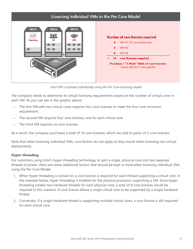

*Each VM is licensed individually using the Per Core licensing model.* 

The company needs to determine its virtual licensing requirements based on the number of virtual cores in each VM. As you can see in the graphic above:

- The first VM with two virtual cores requires four core licenses to meet the four core minimum requirement.
- The second VM requires four core licenses, one for each virtual core.
- The third VM requires six core licenses.

As a result, the company purchases a total of 14 core licenses, which are sold in packs of 2-core licenses.

Note that when licensing individual VMs, core factors do not apply as they would when licensing non-virtual deployments.

#### **Hyper-threading**

For customers using Intel's hyper-threading technology to split a single, physical core into two separate threads of power, there are some additional factors that should be kept in mind when licensing individual VMs using the Per Core Model.

- 1. When hyper-threading is turned on, a core license is required for each thread supporting a virtual core. In the example below, hyper-threading is enabled for the physical processor supporting a VM. Since hyperthreading creates two hardware threads for each physical core, a total of 8 core licenses would be required in this scenario. A core license allows a single virtual core to be supported by a single hardware thread.
- 2. Conversely, if a single hardware thread is supporting multiple virtual cores, a core license is still required for each virtual core.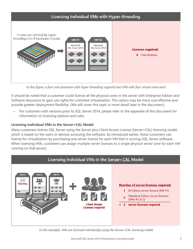

*In this figure, a four core processor with hyper-threading supports two VMs with four virtual cores each.* 

It should be noted that a customer could license all the physical cores in the server with Enterprise Edition and Software Assurance to gain use rights for unlimited virtualization. This option may be more cost effective and provide greater deployment flexibility. (We will cover this topic in more detail later in the document.)

 For customers with versions prior to SQL Server 2014, please refer to the appendix of this document for information on licensing options and rules.

#### **Licensing Individual VMs in the Server+CAL Model**

Many customers license SQL Server using the Server plus Client Access License (Server+CAL) licensing model, which is based on the users or devices accessing the software. As introduced earlier, these customers can license for virtualization by purchasing one server license for each VM that is running SQL Server software. When licensing VMs, customers can assign multiple server licenses to a single physical server (one for each VM running on that server).



*In this example, VMs are licensed individually using the Server+CAL licensing model.*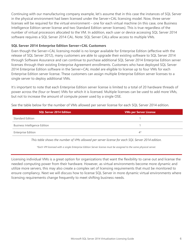Continuing with our manufacturing company example, let's assume that in this case the instances of SQL Server in the physical environment had been licensed under the Server+CAL licensing model. Now, three server licenses will be required for the virtual environment – one for each virtual machine (in this case, one Business Intelligence Edition server license and two Standard Edition server licenses). This is true regardless of the number of virtual processors allocated to the VM. In addition, each user or device accessing SQL Server 2014 software requires a SQL Server 2014 CAL. Note: SQL Server CALs allow access to multiple VMs.

#### **SQL Server 2014 Enterprise Edition Server+CAL Customers**

Even though the Server+CAL licensing model is no longer available for Enterprise Edition (effective with the release of SQL Server 2012), many customers are able to upgrade their existing software to SQL Server 2014 through Software Assurance and can continue to purchase additional SQL Server 2014 Enterprise Edition server licenses through their existing Enterprise Agreement enrollments. Customers who have deployed SQL Server 2014 Enterprise Edition software in the Server+CAL model are eligible to license up to four VMs for each Enterprise Edition server license. These customers can assign multiple Enterprise Edition server licenses to a single server to deploy additional VMs.

It's important to note that each Enterprise Edition server license is limited to a total of 20 hardware threads of power across the (four or fewer) VMs for which it is licensed. Multiple licenses can be used to add more VMs, but not to increase the amount of compute power used by a single OSE.

|  | See the table below for the number of VMs allowed per server license for each SQL Server 2014 edition. |
|--|--------------------------------------------------------------------------------------------------------|
|--|--------------------------------------------------------------------------------------------------------|

| <b>SQL Server 2014 Edition</b>       | <b>VMs per Server License</b> |
|--------------------------------------|-------------------------------|
| <b>Standard Edition</b>              |                               |
| <b>Business Intelligence Edition</b> |                               |
| <b>Enterprise Edition</b>            | $4^{\star}$                   |

*This table shows the number of VMs allowed per server license for each SQL Server 2014 edition.* 

*\*Each VM licensed with a single Enterprise Edition Server license must be assigned to the same physical server.* 

Licensing individual VMs is a great option for organizations that want the flexibility to carve out and license the needed computing power from their hardware. However, as virtual environments become more dynamic and utilize more servers, this may also create a complex set of licensing requirements that must be monitored to ensure compliancy. Next we will discuss how to license SQL Server in more dynamic virtual environments where licensing requirements change frequently to meet shifting business needs.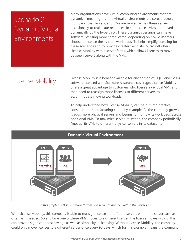# Scenario 2: Dynamic Virtual Environments

Many organizations have virtual computing environments that are dynamic – meaning that the virtual environments are spread across multiple virtual servers, and VMs are moved across these servers occasionally to reallocate resources. In some cases, VMs are moved dynamically by the hypervisor. These dynamic scenarios can make software licensing more complicated, depending on how customers choose to license their virtual workloads. To help simplify licensing for these scenarios and to provide greater flexibility, Microsoft offers License Mobility within server farms, which allows licenses to move between servers along with the VMs.

## License Mobility

License Mobility is a benefit available for any edition of SQL Server 2014 software licensed with Software Assurance coverage. License Mobility offers a great advantage to customers who license individual VMs and then need to reassign those licenses to different servers to accommodate moving workloads.

To help understand how License Mobility can be put into practice, consider our manufacturing company example. As the company grows, it adds more physical servers and begins to multiply its workloads across additional VMs. To maximize server utilization, the company periodically "moves" its VMs to different physical servers in its datacenter.



*In this graphic, VM #3 is "moved" from one server to another within the server farm.* 

With License Mobility, this company is able to reassign licenses to different servers within the server farm as often as is needed. So any time one of these VMs moves to a different server, the license moves with it. This can provide significant cost savings as well as simplicity in licensing. Without License Mobility, the company could only move licenses to a different server once every 90 days, which for this example means the company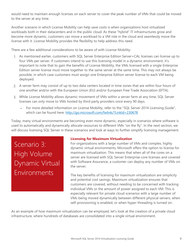would need to maintain enough licenses on each server to cover the peak number of VMs that could be moved to the server at any time.

Another scenario in which License Mobility can help save costs is when organizations host virtualized workloads both in their datacenters and in the public cloud. As these "hybrid" IT infrastructures grow and become more dynamic, customers can move a workload to a VM role in the cloud and seamlessly move the license with it. License Mobility provides the flexibility to help address this need.

There are a few additional considerations to be aware of with License Mobility:

- 1. As mentioned earlier, customers with SQL Server Enterprise Edition Server+CAL licenses can license up to four VMs per server. If customers intend to use this licensing model in a dynamic environment, it's important to note that to gain the benefits of License Mobility, the VMs licensed with a single Enterprise Edition server license must move together to the same server at the same time. This may not always be possible, in which case customers must assign one Enterprise Edition server license to each VM being deployed.
- 2. A server farm may consist of up to two data centers located in time zones that are within four hours of one another and/or with the European Union (EU) and/or European Free Trade Association (EFTA).
- 3. While License Mobility allows dynamic movement of VMs within a server farm at any time, SQL Server licenses can only move to VMs hosted by third party providers once every 90 days.
	- For more detailed information on License Mobility, refer to the "SQL Server 2014 Licensing Guide", which can be found here: http://go.microsoft.com/fwlink/?LinkId=230678

Today, many virtual environments are becoming even more dynamic, especially in scenarios where software is used to automatically and dynamically allocate resources to different VMs "on the fly". In the next section, we will discuss licensing SQL Server in these scenarios and look at ways to further simplify licensing management.

Scenario 3: High Volume Dynamic Virtual Environments

#### **Licensing for Maximum Virtualization**

For organizations with a large number of VMs and complex, highly dynamic virtual environments, Microsoft offers the option to license for maximum virtualization. This means that when all of the cores on a server are licensed with SQL Server Enterprise core licenses and covered with Software Assurance, a customer can deploy any number of VMs on the server.

The key benefits of licensing for maximum virtualization are simplicity and potential cost savings. Maximum virtualization ensures that customers are covered, without needing to be concerned with tracking individual VMs or the amount of power assigned to each VM. This is especially relevant for private cloud scenarios with a large number of VMs being moved dynamically between different physical servers, when self-provisioning is enabled, or when hyper-threading is turned on.

As an example of how maximum virtualization can be employed, let's look at the creation of a private cloud infrastructure, where hundreds of databases are consolidated into a single virtual environment.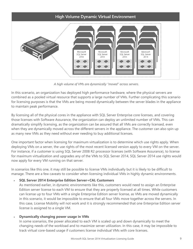

*A high volume of VMs are dynamically "moved" across servers.* 

In this scenario, an organization has deployed high performance hardware, where the physical servers are combined as a pooled virtual resource that supports a large number of VMs. Further complicating this scenario for licensing purposes is that the VMs are being moved dynamically between the server blades in the appliance to maintain peak performance.

By licensing all of the physical cores in the appliance with SQL Server Enterprise core licenses, and covering those licenses with Software Assurance, the organization can deploy an unlimited number of VMs. This can dramatically simplify licensing, as the organization can be assured that all VMs are correctly licensed, even when they are dynamically moved across the different servers in the appliance. The customer can also spin up as many new VMs as they need without ever needing to buy additional licenses.

One important factor when licensing for maximum virtualization is to determine which use rights apply. When deploying VMs on a server, the use rights of the most recent licensed version apply to every VM on the server. For instance, if a customer is using SQL Server 2008 R2 processor licenses (with Software Assurance), to license for maximum virtualization and upgrades any of the VMs to SQL Server 2014, SQL Server 2014 use rights would now apply for every VM running on that server.

In scenarios like this one, it may still be possible to license VMs individually but it is likely to be difficult to manage. There are a few caveats to consider when licensing individual VMs in highly dynamic environments.

**SQL Server 2014 Enterprise Edition Server+CAL Customers** 

As mentioned earlier, in dynamic environments like this, customers would need to assign an Enterprise Edition server license to each VM to ensure that they are properly licensed at all times. While customers can license up to four VMs with a single Enterprise Edition server license, as VMs are moved dynamically in this scenario, it would be impossible to ensure that all four VMs move together across the servers. In this case, License Mobility will not work and it is strongly recommended that one Enterprise Edition server license is assigned to a single VM.

#### **Dynamically changing power usage in VMs**

In some scenarios, the power allocated to each VM is scaled up and down dynamically to meet the changing needs of the workload and to maximize server utilization. In this case, it may be impossible to track virtual core-based usage if customers license individual VMs with core licenses.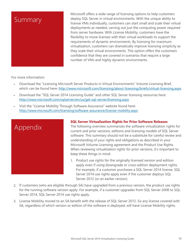### Summary

Microsoft offers a wide range of licensing options to help customers deploy SQL Server in virtual environments. With the unique ability to license VMs individually, customers can start small and scale their virtual deployments as needed, carving out just the computing power required from server hardware. With License Mobility, customers have the flexibility to move licenses with their virtual workloads to support the requirements of dynamic environments. By licensing for maximum virtualization, customers can dramatically improve licensing simplicity as they scale their virtual environments. This option offers the customers confidence that they are covered in scenarios that require a large number of VMs and highly dynamic environments.

For more information:

- Download the "Licensing Microsoft Server Products in Virtual Environments" Volume Licensing Brief, which can be found here: http://www.microsoft.com/licensing/about-licensing/briefs/virtual-licensing.aspx
- Download the "SQL Server 2014 Licensing Guide" and other SQL Server licensing resources here: http://www.microsoft.com/sqlserver/en/us/get-sql-server/licensing.aspx
- Visit the "License Mobility Through Software Assurance" website found here: http://www.microsoft.com/licensing/software-assurance/license-mobility.aspx



#### **SQL Server Virtualization Rights for Prior Software Releases**

The following overview summarizes the software virtualization rights for current and prior versions, editions and licensing models of SQL Server software. This summary should not be a substitute for careful review and understanding of your rights and obligations as described in your Microsoft Volume Licensing agreement and the Product Use Rights. When reviewing virtualization rights for prior versions, it's important to keep these things in mind:

- 1. Product use rights for the originally licensed version and edition apply even if using downgrade or cross-edition deployment rights. For example, if a customer purchases a SQL Server 2014 license, SQL Server 2014 use rights apply even if the customer deploys SQL Server 2012 (or an earlier version).
- 2. If customers (who are eligible through SA) have upgraded from a previous version, the product use rights for the running software version apply. For example, if a customer upgrades from SQL Server 2008 to SQL Server 2014, SQL Server 2014 use rights apply.
- 3. License Mobility moved to an SA benefit with the release of SQL Server 2012. So any license covered with SA, regardless of which version or edition of the software is deployed, will have License Mobility rights.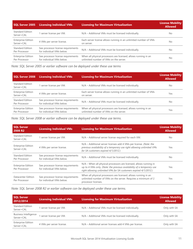| SQL Server 2005                            | <b>Licensing Individual VMs</b>                                 | <b>Licensing for Maximum Virtualization</b>                                                               | <b>License Mobility</b><br><b>Allowed</b> |
|--------------------------------------------|-----------------------------------------------------------------|-----------------------------------------------------------------------------------------------------------|-------------------------------------------|
| <b>Standard Edition</b><br>Server+CAL      | I server license per VM.                                        | N/A – Additional VMs must be licensed individually.                                                       | No.                                       |
| <b>Enterprise Edition</b><br>Server+CAL    | 4 VMs per server license.                                       | Each server license allows running in an unlimited number of VMs<br>on server.                            | No                                        |
| <b>Standard Edition</b><br>Per Processor   | See processor license requirements<br>for individual VMs below. | N/A – Additional VMs must be licensed individually.                                                       | No                                        |
| <b>Enterprise Edition</b><br>Per Processor | See processor license requirements<br>for individual VMs below. | When all physical processors are licensed, allows running in an<br>unlimited number of VMs on the server. | No.                                       |

| Note: SQL Server 2005 or earlier software can be deployed under these use terms |  |  |  |  |  |  |  |
|---------------------------------------------------------------------------------|--|--|--|--|--|--|--|
|---------------------------------------------------------------------------------|--|--|--|--|--|--|--|

| <b>SQL Server 2008</b>                     | <b>Licensing Individual VMs</b>                                 | <b>Licensing for Maximum Virtualization</b>                                                               | <b>License Mobility</b><br><b>Allowed</b> |
|--------------------------------------------|-----------------------------------------------------------------|-----------------------------------------------------------------------------------------------------------|-------------------------------------------|
| <b>Standard Edition</b><br>Server+CAL      | 1 server license per VM.                                        | N/A – Additional VMs must be licensed individually.                                                       | No.                                       |
| <b>Enterprise Edition</b><br>Server+CAL    | 4 VMs per server license.                                       | Each server license allows running in an unlimited number of VMs<br>on server.                            | Yes                                       |
| Standard Edition<br>Per Processor          | See processor license requirements<br>for individual VMs below. | N/A - Additional VMs must be licensed individually.                                                       | No.                                       |
| <b>Enterprise Edition</b><br>Per Processor | See processor license requirements<br>for individual VMs below. | When all physical processors are licensed, allows running in an<br>unlimited number of VMs on the server. | Yes                                       |

*Note: SQL Server 2008 or earlier software can be deployed under these use terms.* 

| <b>SQL Server</b><br>2008 R <sub>2</sub>   | <b>Licensing Individual VMs</b>                                 | <b>Licensing for Maximum Virtualization</b>                                                                                                                                                                     | <b>License Mobility</b><br><b>Allowed</b> |
|--------------------------------------------|-----------------------------------------------------------------|-----------------------------------------------------------------------------------------------------------------------------------------------------------------------------------------------------------------|-------------------------------------------|
| Standard Edition<br>Server+CAL             | 1 server license per VM.                                        | N/A - Additional server license required for each VM.                                                                                                                                                           | No.                                       |
| <b>Enterprise Edition</b><br>Server+CAL    | 4 VMs per server license.                                       | N/A - Additional server licenses add 4 VMs per license. (Note: the<br>previous availability of a temporary use right allowing unlimited VMs<br>for SA customers expired 4/1/2012.)                              | Yes                                       |
| <b>Standard Edition</b><br>Per Processor   | See processor license requirements<br>for individual VMs below. | N/A – Additional VMs must be licensed individually.                                                                                                                                                             | No.                                       |
| <b>Enterprise Edition</b><br>Per Processor | See processor license requirements<br>for individual VMs below. | N/A – When all physical processors are licensed, allows running in<br>up to 4 VMs only. (Note: the previous availability of a temporary use<br>right allowing unlimited VMs for SA customers expired 4/1/2012.) | Yes                                       |
| Datacenter Edition<br>Per Processor        | See processor license requirements<br>for individual VMs below. | When all physical processors are licensed, allows running in an<br>unlimited number of VMs on the server. Requires a minimum of 2<br>processor licenses.                                                        | Yes                                       |

*Note: SQL Server 2008 R2 or earlier software can be deployed under these use terms.* 

| SQL Server<br>2012/2014                    | <b>Licensing Individual VMs</b> | Licensing for Maximum Virtualization                    | <b>License Mobility</b><br><b>Allowed</b> |
|--------------------------------------------|---------------------------------|---------------------------------------------------------|-------------------------------------------|
| <b>Standard Edition</b><br>Server+CAL      | I server license per VM.        | N/A - Additional VMs must be licensed individually.     | Only with SA                              |
| <b>Business Intelligence</b><br>Server+CAL | server license per VM.          | N/A - Additional VMs must be licensed individually.     | Only with SA                              |
| <b>Enterprise Edition</b><br>Server+CAL    | 4 VMs per server license.       | N/A - Additional server licenses add 4 VMs per license. | Only with SA                              |